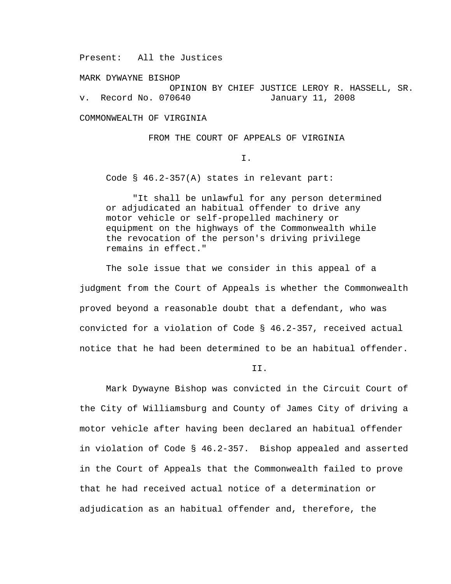Present: All the Justices

MARK DYWAYNE BISHOP OPINION BY CHIEF JUSTICE LEROY R. HASSELL, SR. v. Record No. 070640 January 11, 2008

COMMONWEALTH OF VIRGINIA

FROM THE COURT OF APPEALS OF VIRGINIA

I.

Code § 46.2-357(A) states in relevant part:

 "It shall be unlawful for any person determined or adjudicated an habitual offender to drive any motor vehicle or self-propelled machinery or equipment on the highways of the Commonwealth while the revocation of the person's driving privilege remains in effect."

The sole issue that we consider in this appeal of a judgment from the Court of Appeals is whether the Commonwealth proved beyond a reasonable doubt that a defendant, who was convicted for a violation of Code § 46.2-357, received actual notice that he had been determined to be an habitual offender.

II.

Mark Dywayne Bishop was convicted in the Circuit Court of the City of Williamsburg and County of James City of driving a motor vehicle after having been declared an habitual offender in violation of Code § 46.2-357. Bishop appealed and asserted in the Court of Appeals that the Commonwealth failed to prove that he had received actual notice of a determination or adjudication as an habitual offender and, therefore, the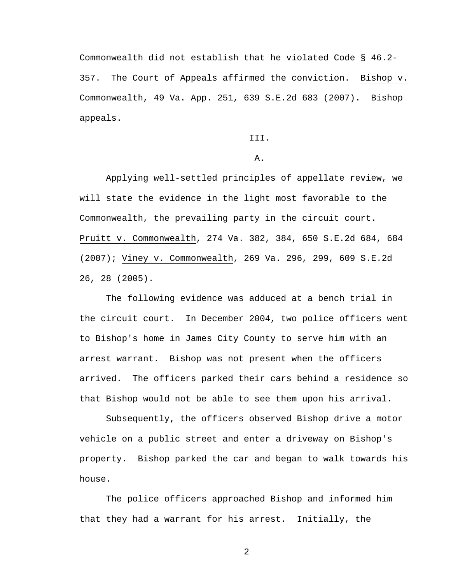Commonwealth did not establish that he violated Code § 46.2- 357. The Court of Appeals affirmed the conviction. Bishop v. Commonwealth, 49 Va. App. 251, 639 S.E.2d 683 (2007). Bishop appeals.

III.

A.

Applying well-settled principles of appellate review, we will state the evidence in the light most favorable to the Commonwealth, the prevailing party in the circuit court. Pruitt v. Commonwealth, 274 Va. 382, 384, 650 S.E.2d 684, 684 (2007); Viney v. Commonwealth, 269 Va. 296, 299, 609 S.E.2d 26, 28 (2005).

The following evidence was adduced at a bench trial in the circuit court. In December 2004, two police officers went to Bishop's home in James City County to serve him with an arrest warrant. Bishop was not present when the officers arrived. The officers parked their cars behind a residence so that Bishop would not be able to see them upon his arrival.

Subsequently, the officers observed Bishop drive a motor vehicle on a public street and enter a driveway on Bishop's property. Bishop parked the car and began to walk towards his house.

The police officers approached Bishop and informed him that they had a warrant for his arrest. Initially, the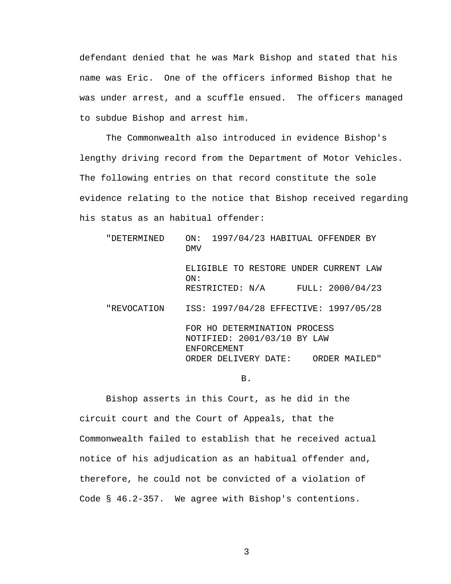defendant denied that he was Mark Bishop and stated that his name was Eric. One of the officers informed Bishop that he was under arrest, and a scuffle ensued. The officers managed to subdue Bishop and arrest him.

The Commonwealth also introduced in evidence Bishop's lengthy driving record from the Department of Motor Vehicles. The following entries on that record constitute the sole evidence relating to the notice that Bishop received regarding his status as an habitual offender:

"DETERMINED ON: 1997/04/23 HABITUAL OFFENDER BY DMV ELIGIBLE TO RESTORE UNDER CURRENT LAW ON: RESTRICTED: N/A FULL: 2000/04/23 "REVOCATION ISS: 1997/04/28 EFFECTIVE: 1997/05/28 FOR HO DETERMINATION PROCESS NOTIFIED: 2001/03/10 BY LAW ENFORCEMENT ORDER DELIVERY DATE: ORDER MAILED"

B.

 Bishop asserts in this Court, as he did in the circuit court and the Court of Appeals, that the Commonwealth failed to establish that he received actual notice of his adjudication as an habitual offender and, therefore, he could not be convicted of a violation of Code § 46.2-357. We agree with Bishop's contentions.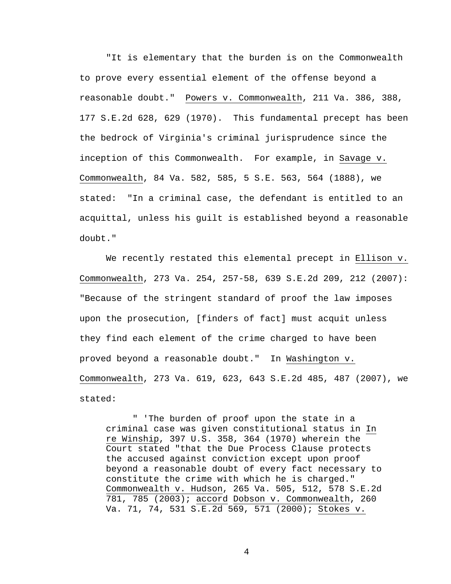"It is elementary that the burden is on the Commonwealth to prove every essential element of the offense beyond a reasonable doubt." Powers v. Commonwealth, 211 Va. 386, 388, 177 S.E.2d 628, 629 (1970). This fundamental precept has been the bedrock of Virginia's criminal jurisprudence since the inception of this Commonwealth. For example, in Savage v. Commonwealth, 84 Va. 582, 585, 5 S.E. 563, 564 (1888), we stated: "In a criminal case, the defendant is entitled to an acquittal, unless his guilt is established beyond a reasonable doubt."

 We recently restated this elemental precept in Ellison v. Commonwealth, 273 Va. 254, 257-58, 639 S.E.2d 209, 212 (2007): "Because of the stringent standard of proof the law imposes upon the prosecution, [finders of fact] must acquit unless they find each element of the crime charged to have been proved beyond a reasonable doubt." In Washington v. Commonwealth, 273 Va. 619, 623, 643 S.E.2d 485, 487 (2007), we stated:

" 'The burden of proof upon the state in a criminal case was given constitutional status in In re Winship, 397 U.S. 358, 364 (1970) wherein the Court stated "that the Due Process Clause protects the accused against conviction except upon proof beyond a reasonable doubt of every fact necessary to constitute the crime with which he is charged." Commonwealth v. Hudson, 265 Va. 505, 512, 578 S.E.2d 781, 785 (2003); accord Dobson v. Commonwealth, 260 Va. 71, 74, 531 S.E.2d 569, 571 (2000); Stokes v.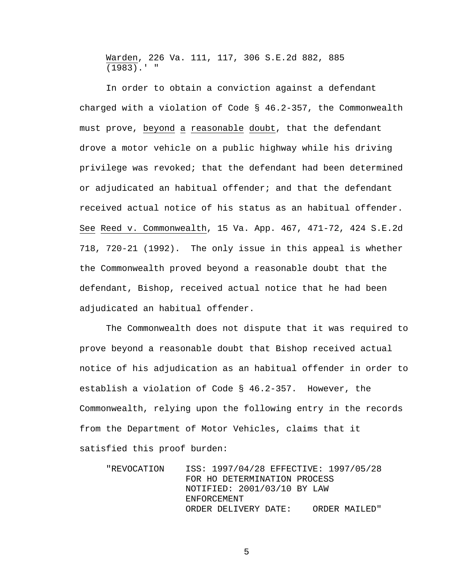Warden, 226 Va. 111, 117, 306 S.E.2d 882, 885 (1983).' "

 In order to obtain a conviction against a defendant charged with a violation of Code § 46.2-357, the Commonwealth must prove, beyond a reasonable doubt, that the defendant drove a motor vehicle on a public highway while his driving privilege was revoked; that the defendant had been determined or adjudicated an habitual offender; and that the defendant received actual notice of his status as an habitual offender. See Reed v. Commonwealth, 15 Va. App. 467, 471-72, 424 S.E.2d 718, 720-21 (1992). The only issue in this appeal is whether the Commonwealth proved beyond a reasonable doubt that the defendant, Bishop, received actual notice that he had been adjudicated an habitual offender.

 The Commonwealth does not dispute that it was required to prove beyond a reasonable doubt that Bishop received actual notice of his adjudication as an habitual offender in order to establish a violation of Code § 46.2-357. However, the Commonwealth, relying upon the following entry in the records from the Department of Motor Vehicles, claims that it satisfied this proof burden:

"REVOCATION ISS: 1997/04/28 EFFECTIVE: 1997/05/28 FOR HO DETERMINATION PROCESS NOTIFIED: 2001/03/10 BY LAW ENFORCEMENT ORDER DELIVERY DATE: ORDER MAILED"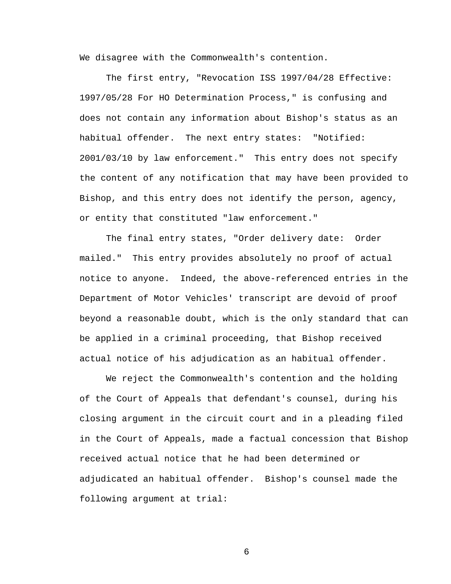We disagree with the Commonwealth's contention.

 The first entry, "Revocation ISS 1997/04/28 Effective: 1997/05/28 For HO Determination Process," is confusing and does not contain any information about Bishop's status as an habitual offender. The next entry states: "Notified: 2001/03/10 by law enforcement." This entry does not specify the content of any notification that may have been provided to Bishop, and this entry does not identify the person, agency, or entity that constituted "law enforcement."

The final entry states, "Order delivery date: Order mailed." This entry provides absolutely no proof of actual notice to anyone. Indeed, the above-referenced entries in the Department of Motor Vehicles' transcript are devoid of proof beyond a reasonable doubt, which is the only standard that can be applied in a criminal proceeding, that Bishop received actual notice of his adjudication as an habitual offender.

 We reject the Commonwealth's contention and the holding of the Court of Appeals that defendant's counsel, during his closing argument in the circuit court and in a pleading filed in the Court of Appeals, made a factual concession that Bishop received actual notice that he had been determined or adjudicated an habitual offender. Bishop's counsel made the following argument at trial: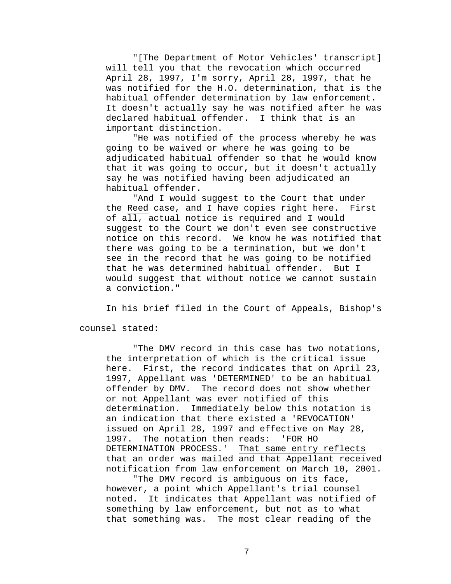"[The Department of Motor Vehicles' transcript] will tell you that the revocation which occurred April 28, 1997, I'm sorry, April 28, 1997, that he was notified for the H.O. determination, that is the habitual offender determination by law enforcement. It doesn't actually say he was notified after he was declared habitual offender. I think that is an important distinction.

"He was notified of the process whereby he was going to be waived or where he was going to be adjudicated habitual offender so that he would know that it was going to occur, but it doesn't actually say he was notified having been adjudicated an habitual offender.

"And I would suggest to the Court that under the Reed case, and I have copies right here. First of all, actual notice is required and I would suggest to the Court we don't even see constructive notice on this record. We know he was notified that there was going to be a termination, but we don't see in the record that he was going to be notified that he was determined habitual offender. But I would suggest that without notice we cannot sustain a conviction."

In his brief filed in the Court of Appeals, Bishop's

counsel stated:

 "The DMV record in this case has two notations, the interpretation of which is the critical issue here. First, the record indicates that on April 23, 1997, Appellant was 'DETERMINED' to be an habitual offender by DMV. The record does not show whether or not Appellant was ever notified of this determination. Immediately below this notation is an indication that there existed a 'REVOCATION' issued on April 28, 1997 and effective on May 28, 1997. The notation then reads: 'FOR HO DETERMINATION PROCESS.' That same entry reflects that an order was mailed and that Appellant received notification from law enforcement on March 10, 2001.

"The DMV record is ambiguous on its face, however, a point which Appellant's trial counsel noted. It indicates that Appellant was notified of something by law enforcement, but not as to what that something was. The most clear reading of the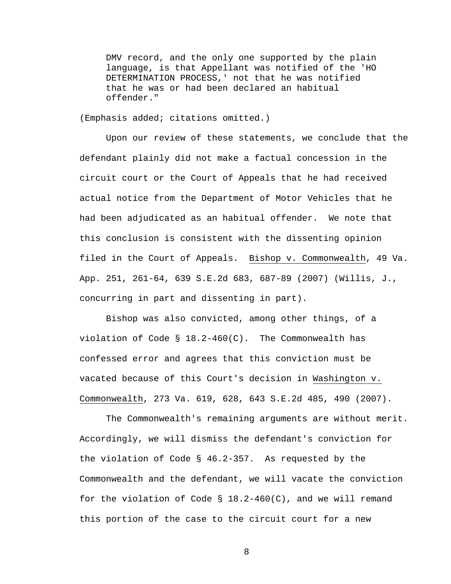DMV record, and the only one supported by the plain language, is that Appellant was notified of the 'HO DETERMINATION PROCESS,' not that he was notified that he was or had been declared an habitual offender."

(Emphasis added; citations omitted.)

Upon our review of these statements, we conclude that the defendant plainly did not make a factual concession in the circuit court or the Court of Appeals that he had received actual notice from the Department of Motor Vehicles that he had been adjudicated as an habitual offender. We note that this conclusion is consistent with the dissenting opinion filed in the Court of Appeals. Bishop v. Commonwealth, 49 Va. App. 251, 261-64, 639 S.E.2d 683, 687-89 (2007) (Willis, J., concurring in part and dissenting in part).

Bishop was also convicted, among other things, of a violation of Code §  $18.2-460(C)$ . The Commonwealth has confessed error and agrees that this conviction must be vacated because of this Court's decision in Washington v. Commonwealth, 273 Va. 619, 628, 643 S.E.2d 485, 490 (2007).

 The Commonwealth's remaining arguments are without merit. Accordingly, we will dismiss the defendant's conviction for the violation of Code § 46.2-357. As requested by the Commonwealth and the defendant, we will vacate the conviction for the violation of Code  $\S$  18.2-460(C), and we will remand this portion of the case to the circuit court for a new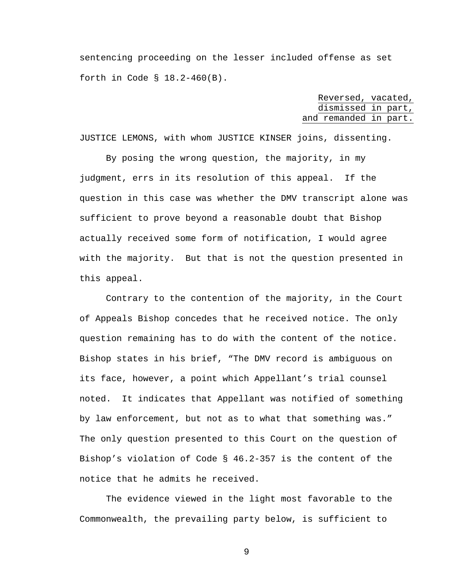sentencing proceeding on the lesser included offense as set forth in Code § 18.2-460(B).

| Reversed, vacated,    |  |  |
|-----------------------|--|--|
| dismissed in part,    |  |  |
| and remanded in part. |  |  |

JUSTICE LEMONS, with whom JUSTICE KINSER joins, dissenting.

 By posing the wrong question, the majority, in my judgment, errs in its resolution of this appeal. If the question in this case was whether the DMV transcript alone was sufficient to prove beyond a reasonable doubt that Bishop actually received some form of notification, I would agree with the majority. But that is not the question presented in this appeal.

 Contrary to the contention of the majority, in the Court of Appeals Bishop concedes that he received notice. The only question remaining has to do with the content of the notice. Bishop states in his brief, "The DMV record is ambiguous on its face, however, a point which Appellant's trial counsel noted. It indicates that Appellant was notified of something by law enforcement, but not as to what that something was." The only question presented to this Court on the question of Bishop's violation of Code § 46.2-357 is the content of the notice that he admits he received.

 The evidence viewed in the light most favorable to the Commonwealth, the prevailing party below, is sufficient to